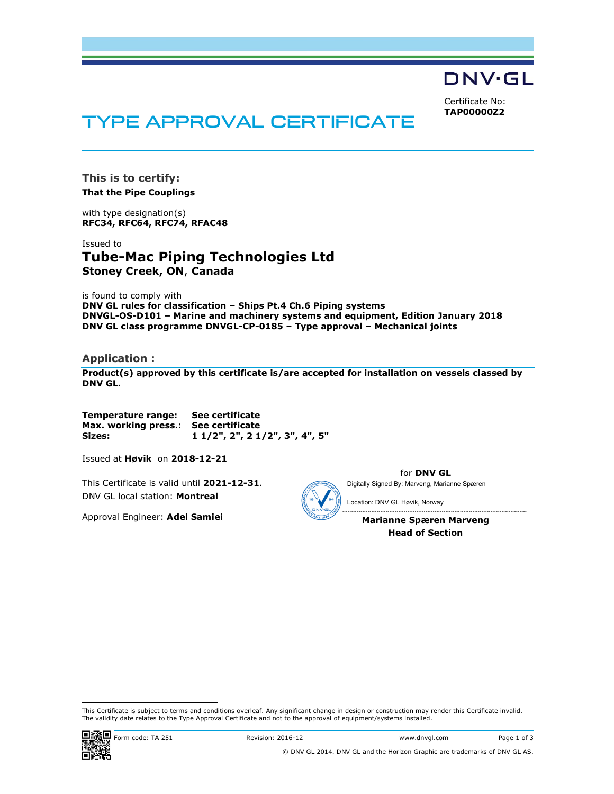DNV·GL

Certificate No: TAP00000Z2

# TYPE APPROVAL CERTIFICATE

This is to certify: That the Pipe Couplings

with type designation(s) RFC34, RFC64, RFC74, RFAC48

Issued to Tube-Mac Piping Technologies Ltd Stoney Creek, ON, Canada

is found to comply with

DNV GL rules for classification – Ships Pt.4 Ch.6 Piping systems DNVGL-OS-D101 – Marine and machinery systems and equipment, Edition January 2018 DNV GL class programme DNVGL-CP-0185 – Type approval – Mechanical joints

# Application :

Product(s) approved by this certificate is/are accepted for installation on vessels classed by DNV GL.

Temperature range: See certificate Max. working press.: See certificate Sizes: 1 1/2", 2", 2 1/2", 3", 4", 5"

Issued at Høvik on 2018-12-21

This Certificate is valid until 2021-12-31. DNV GL local station: Montreal

Approval Engineer: Adel Samiei

Digitally Signed By: Marveng, Marianne Spæren

Location: DNV GL Høvik, Norway

Marianne Spæren Marveng Head of Section

for DNV GL

 This Certificate is subject to terms and conditions overleaf. Any significant change in design or construction may render this Certificate invalid. The validity date relates to the Type Approval Certificate and not to the approval of equipment/systems installed.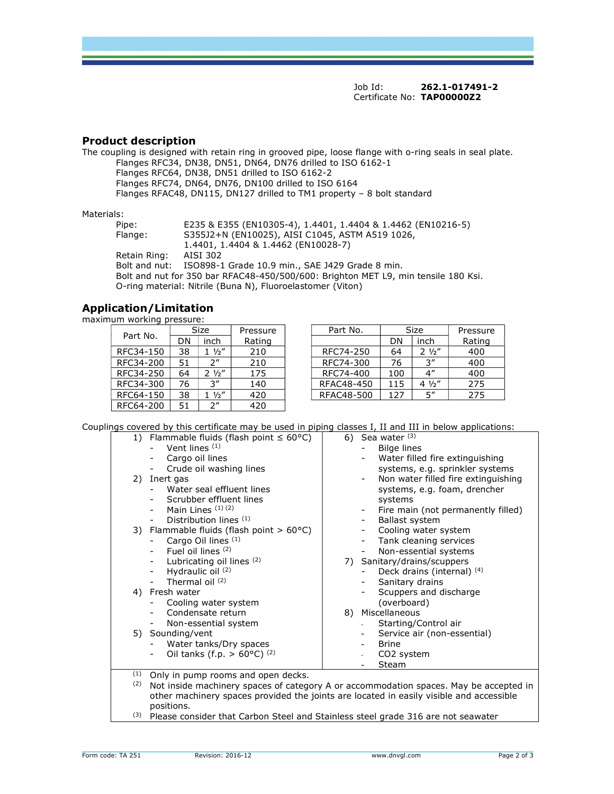Job Id: 262.1-017491-2 Certificate No: TAP00000Z2

# Product description

The coupling is designed with retain ring in grooved pipe, loose flange with o-ring seals in seal plate. Flanges RFC34, DN38, DN51, DN64, DN76 drilled to ISO 6162-1 Flanges RFC64, DN38, DN51 drilled to ISO 6162-2 Flanges RFC74, DN64, DN76, DN100 drilled to ISO 6164 Flanges RFAC48, DN115, DN127 drilled to TM1 property – 8 bolt standard

#### Materials:

Pipe: E235 & E355 (EN10305-4), 1.4401, 1.4404 & 1.4462 (EN10216-5) Flange: S355J2+N (EN10025), AISI C1045, ASTM A519 1026, 1.4401, 1.4404 & 1.4462 (EN10028-7)<br>AISI 302 Retain Ring: Bolt and nut: ISO898-1 Grade 10.9 min., SAE J429 Grade 8 min. Bolt and nut for 350 bar RFAC48-450/500/600: Brighton MET L9, min tensile 180 Ksi. O-ring material: Nitrile (Buna N), Fluoroelastomer (Viton)

# Application/Limitation

maximum working pressure:

| Part No.  |    | Size               | Pressure |  |
|-----------|----|--------------------|----------|--|
|           | DN | inch               | Rating   |  |
| RFC34-150 | 38 | $1\frac{1}{2}$     | 210      |  |
| RFC34-200 | 51 | $2^{\prime\prime}$ | 210      |  |
| RFC34-250 | 64 | $2\frac{1}{2}$     | 175      |  |
| RFC34-300 | 76 | 3''                | 140      |  |
| RFC64-150 | 38 | $1 \frac{1}{2}$    | 420      |  |
| RFC64-200 | 51 | $2^{\prime\prime}$ | 420      |  |

| Part No.  | Size |                 | Pressure | Part No. |            |     | Size               | Pressure |
|-----------|------|-----------------|----------|----------|------------|-----|--------------------|----------|
|           | DΝ   | inch            | Rating   |          |            | DN  | inch               | Rating   |
| RFC34-150 | 38   | $\frac{1}{2}$ " | 210      |          | RFC74-250  | 64  | $2\frac{1}{2}$     | 400      |
| RFC34-200 | 51   | ን″              | 210      |          | RFC74-300  | 76  | 3''                | 400      |
| RFC34-250 | 64   | $2 \frac{1}{2}$ | 175      |          | RFC74-400  | 100 | $4^{\prime\prime}$ | 400      |
| RFC34-300 | 76   | 3''             | 140      |          | RFAC48-450 | 115 | $4\frac{1}{2}$     | 275      |
| RFC64-150 | 38   | 1/2''           | 420      |          | RFAC48-500 | 127 | 5''                | 275      |

Couplings covered by this certificate may be used in piping classes I, II and III in below applications:

| 1) Flammable fluids (flash point $\leq 60^{\circ}$ C) | 6) Sea water $(3)$                                                                      |
|-------------------------------------------------------|-----------------------------------------------------------------------------------------|
| Vent lines (1)                                        | Bilge lines                                                                             |
| Cargo oil lines<br>-                                  | Water filled fire extinguishing                                                         |
| Crude oil washing lines<br>-                          | systems, e.g. sprinkler systems                                                         |
| 2) Inert gas                                          | Non water filled fire extinguishing<br>$\overline{\phantom{a}}$                         |
| Water seal effluent lines                             | systems, e.g. foam, drencher                                                            |
| Scrubber effluent lines                               | systems                                                                                 |
| Main Lines $(1)(2)$                                   | Fire main (not permanently filled)<br>$\overline{\phantom{a}}$                          |
| Distribution lines (1)                                | Ballast system                                                                          |
| 3) Flammable fluids (flash point $> 60^{\circ}$ C)    | Cooling water system<br>$\overline{\phantom{0}}$                                        |
| Cargo Oil lines (1)                                   | Tank cleaning services<br>-                                                             |
| Fuel oil lines (2)                                    | Non-essential systems<br>-                                                              |
| Lubricating oil lines (2)<br>$\overline{\phantom{a}}$ | Sanitary/drains/scuppers<br>7)                                                          |
| Hydraulic oil (2)                                     | Deck drains (internal) (4)                                                              |
| Thermal oil $(2)$                                     | Sanitary drains                                                                         |
| 4) Fresh water                                        | Scuppers and discharge                                                                  |
| Cooling water system                                  | (overboard)                                                                             |
| Condensate return                                     | 8) Miscellaneous                                                                        |
| Non-essential system<br>$\overline{\phantom{a}}$      | Starting/Control air                                                                    |
| 5) Sounding/vent                                      | Service air (non-essential)<br>$\overline{\phantom{a}}$                                 |
| Water tanks/Dry spaces                                | <b>Brine</b>                                                                            |
| Oil tanks (f.p. $> 60^{\circ}$ C) (2)                 | CO <sub>2</sub> system                                                                  |
|                                                       | Steam                                                                                   |
| (1)<br>Only in pump rooms and open decks.             |                                                                                         |
| (2)                                                   | Not inside machinery spaces of category A or accommodation spaces. May be accepted in   |
|                                                       | other machinery spaces provided the joints are located in easily visible and accessible |

positions. (3) Please consider that Carbon Steel and Stainless steel grade 316 are not seawater